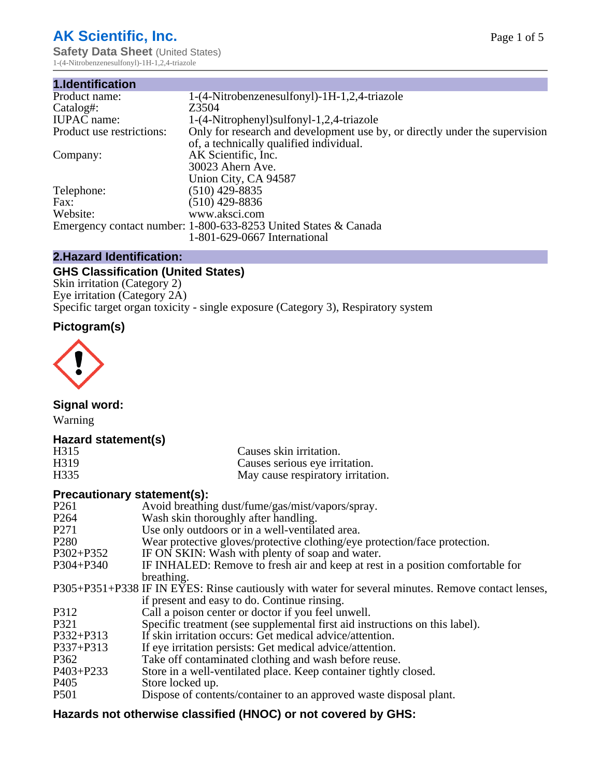# **AK Scientific, Inc.**

**Safety Data Sheet (United States)** 1-(4-Nitrobenzenesulfonyl)-1H-1,2,4-triazole

| 1.Identification          |                                                                             |
|---------------------------|-----------------------------------------------------------------------------|
| Product name:             | 1-(4-Nitrobenzenesulfonyl)-1H-1,2,4-triazole                                |
| Catalog#:                 | Z3504                                                                       |
| <b>IUPAC</b> name:        | 1-(4-Nitrophenyl) sulfonyl-1,2,4-triazole                                   |
| Product use restrictions: | Only for research and development use by, or directly under the supervision |
|                           | of, a technically qualified individual.                                     |
| Company:                  | AK Scientific, Inc.                                                         |
|                           | 30023 Ahern Ave.                                                            |
|                           | Union City, CA 94587                                                        |
| Telephone:                | $(510)$ 429-8835                                                            |
| Fax:                      | $(510)$ 429-8836                                                            |
| Website:                  | www.aksci.com                                                               |
|                           | Emergency contact number: 1-800-633-8253 United States & Canada             |
|                           | 1-801-629-0667 International                                                |

# **2.Hazard Identification:**

# **GHS Classification (United States)**

Skin irritation (Category 2) Eye irritation (Category 2A) Specific target organ toxicity - single exposure (Category 3), Respiratory system

# **Pictogram(s)**



**Signal word:**

Warning

# **Hazard statement(s)**

| H315              | Causes skin irritation.           |
|-------------------|-----------------------------------|
| H <sub>3</sub> 19 | Causes serious eye irritation.    |
| H335              | May cause respiratory irritation. |

#### **Precautionary statement(s):**

| P <sub>261</sub> | Avoid breathing dust/fume/gas/mist/vapors/spray.                                                   |
|------------------|----------------------------------------------------------------------------------------------------|
| P <sub>264</sub> | Wash skin thoroughly after handling.                                                               |
| P <sub>271</sub> | Use only outdoors or in a well-ventilated area.                                                    |
| P <sub>280</sub> | Wear protective gloves/protective clothing/eye protection/face protection.                         |
| P302+P352        | IF ON SKIN: Wash with plenty of soap and water.                                                    |
| $P304 + P340$    | IF INHALED: Remove to fresh air and keep at rest in a position comfortable for                     |
|                  | breathing.                                                                                         |
|                  | P305+P351+P338 IF IN EYES: Rinse cautiously with water for several minutes. Remove contact lenses, |
|                  | if present and easy to do. Continue rinsing.                                                       |
| P312             | Call a poison center or doctor if you feel unwell.                                                 |
| P321             | Specific treatment (see supplemental first aid instructions on this label).                        |
| P332+P313        | If skin irritation occurs: Get medical advice/attention.                                           |
| P337+P313        | If eye irritation persists: Get medical advice/attention.                                          |
| P362             | Take off contaminated clothing and wash before reuse.                                              |
| $P403 + P233$    | Store in a well-ventilated place. Keep container tightly closed.                                   |
| P <sub>405</sub> | Store locked up.                                                                                   |
| P <sub>501</sub> | Dispose of contents/container to an approved waste disposal plant.                                 |
|                  |                                                                                                    |

# **Hazards not otherwise classified (HNOC) or not covered by GHS:**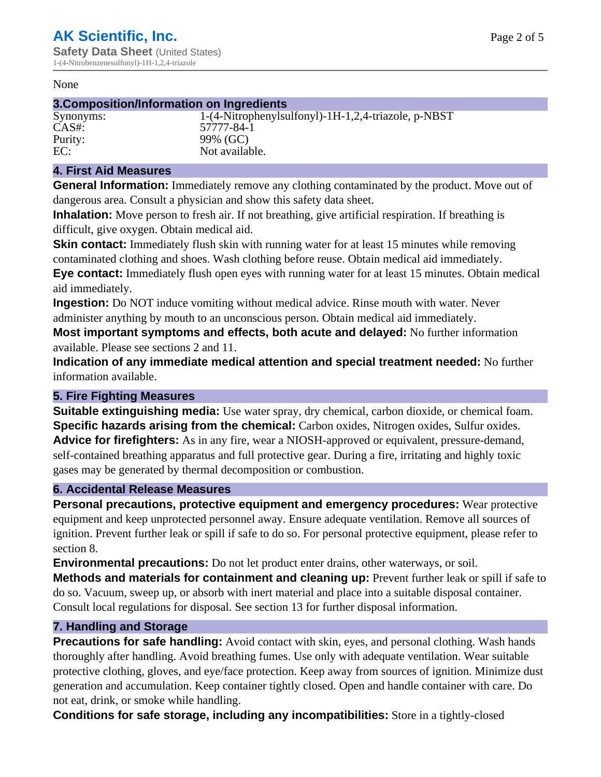#### None

### **3.Composition/Information on Ingredients**

Synonyms: 1-(4-Nitrophenylsulfonyl)-1H-1,2,4-triazole, p-NBST CAS#: 57777-84-1 Purity: 99% (GC)<br>EC: Not availal Not available.

#### **4. First Aid Measures**

**General Information:** Immediately remove any clothing contaminated by the product. Move out of dangerous area. Consult a physician and show this safety data sheet.

**Inhalation:** Move person to fresh air. If not breathing, give artificial respiration. If breathing is difficult, give oxygen. Obtain medical aid.

**Skin contact:** Immediately flush skin with running water for at least 15 minutes while removing contaminated clothing and shoes. Wash clothing before reuse. Obtain medical aid immediately. **Eye contact:** Immediately flush open eyes with running water for at least 15 minutes. Obtain medical aid immediately.

**Ingestion:** Do NOT induce vomiting without medical advice. Rinse mouth with water. Never administer anything by mouth to an unconscious person. Obtain medical aid immediately.

**Most important symptoms and effects, both acute and delayed:** No further information available. Please see sections 2 and 11.

**Indication of any immediate medical attention and special treatment needed:** No further information available.

#### **5. Fire Fighting Measures**

**Suitable extinguishing media:** Use water spray, dry chemical, carbon dioxide, or chemical foam. **Specific hazards arising from the chemical:** Carbon oxides, Nitrogen oxides, Sulfur oxides. **Advice for firefighters:** As in any fire, wear a NIOSH-approved or equivalent, pressure-demand, self-contained breathing apparatus and full protective gear. During a fire, irritating and highly toxic gases may be generated by thermal decomposition or combustion.

#### **6. Accidental Release Measures**

**Personal precautions, protective equipment and emergency procedures:** Wear protective equipment and keep unprotected personnel away. Ensure adequate ventilation. Remove all sources of ignition. Prevent further leak or spill if safe to do so. For personal protective equipment, please refer to section 8.

**Environmental precautions:** Do not let product enter drains, other waterways, or soil.

**Methods and materials for containment and cleaning up:** Prevent further leak or spill if safe to do so. Vacuum, sweep up, or absorb with inert material and place into a suitable disposal container. Consult local regulations for disposal. See section 13 for further disposal information.

#### **7. Handling and Storage**

**Precautions for safe handling:** Avoid contact with skin, eyes, and personal clothing. Wash hands thoroughly after handling. Avoid breathing fumes. Use only with adequate ventilation. Wear suitable protective clothing, gloves, and eye/face protection. Keep away from sources of ignition. Minimize dust generation and accumulation. Keep container tightly closed. Open and handle container with care. Do not eat, drink, or smoke while handling.

**Conditions for safe storage, including any incompatibilities:** Store in a tightly-closed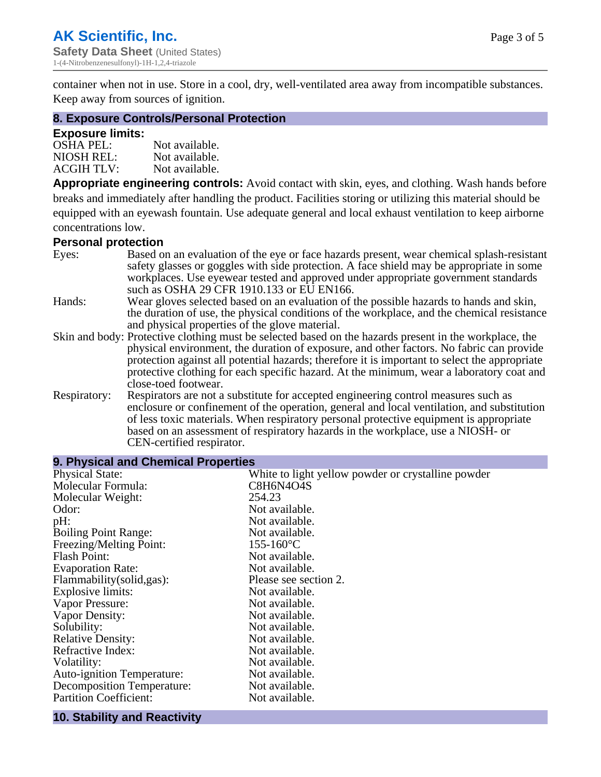container when not in use. Store in a cool, dry, well-ventilated area away from incompatible substances. Keep away from sources of ignition.

#### **8. Exposure Controls/Personal Protection**

#### **Exposure limits:**

| <b>OSHA PEL:</b>  | Not available. |
|-------------------|----------------|
| NIOSH REL:        | Not available. |
| <b>ACGIH TLV:</b> | Not available. |

**Appropriate engineering controls:** Avoid contact with skin, eyes, and clothing. Wash hands before breaks and immediately after handling the product. Facilities storing or utilizing this material should be equipped with an eyewash fountain. Use adequate general and local exhaust ventilation to keep airborne concentrations low.

#### **Personal protection**

| Eyes:        | Based on an evaluation of the eye or face hazards present, wear chemical splash-resistant<br>safety glasses or goggles with side protection. A face shield may be appropriate in some<br>workplaces. Use eyewear tested and approved under appropriate government standards                                                                                                                                             |
|--------------|-------------------------------------------------------------------------------------------------------------------------------------------------------------------------------------------------------------------------------------------------------------------------------------------------------------------------------------------------------------------------------------------------------------------------|
|              | such as OSHA 29 CFR 1910.133 or EU EN166.                                                                                                                                                                                                                                                                                                                                                                               |
| Hands:       | Wear gloves selected based on an evaluation of the possible hazards to hands and skin,<br>the duration of use, the physical conditions of the workplace, and the chemical resistance<br>and physical properties of the glove material.                                                                                                                                                                                  |
|              | Skin and body: Protective clothing must be selected based on the hazards present in the workplace, the<br>physical environment, the duration of exposure, and other factors. No fabric can provide<br>protection against all potential hazards; therefore it is important to select the appropriate<br>protective clothing for each specific hazard. At the minimum, wear a laboratory coat and<br>close-toed footwear. |
| Respiratory: | Respirators are not a substitute for accepted engineering control measures such as<br>enclosure or confinement of the operation, general and local ventilation, and substitution<br>of less toxic materials. When respiratory personal protective equipment is appropriate<br>based on an assessment of respiratory hazards in the workplace, use a NIOSH- or<br>CEN-certified respirator.                              |

| 9. Physical and Chemical Properties |                                                    |  |  |
|-------------------------------------|----------------------------------------------------|--|--|
| <b>Physical State:</b>              | White to light yellow powder or crystalline powder |  |  |
| Molecular Formula:                  | C8H6N4O4S                                          |  |  |
| Molecular Weight:                   | 254.23                                             |  |  |
| Odor:                               | Not available.                                     |  |  |
| pH:                                 | Not available.                                     |  |  |
| <b>Boiling Point Range:</b>         | Not available.                                     |  |  |
| Freezing/Melting Point:             | $155 - 160$ °C                                     |  |  |
| <b>Flash Point:</b>                 | Not available.                                     |  |  |
| <b>Evaporation Rate:</b>            | Not available.                                     |  |  |
| Flammability(solid,gas):            | Please see section 2.                              |  |  |
| <b>Explosive limits:</b>            | Not available.                                     |  |  |
| Vapor Pressure:                     | Not available.                                     |  |  |
| Vapor Density:                      | Not available.                                     |  |  |
| Solubility:                         | Not available.                                     |  |  |
| <b>Relative Density:</b>            | Not available.                                     |  |  |
| Refractive Index:                   | Not available.                                     |  |  |
| Volatility:                         | Not available.                                     |  |  |
| <b>Auto-ignition Temperature:</b>   | Not available.                                     |  |  |
| <b>Decomposition Temperature:</b>   | Not available.                                     |  |  |
| <b>Partition Coefficient:</b>       | Not available.                                     |  |  |
|                                     |                                                    |  |  |

#### **10. Stability and Reactivity**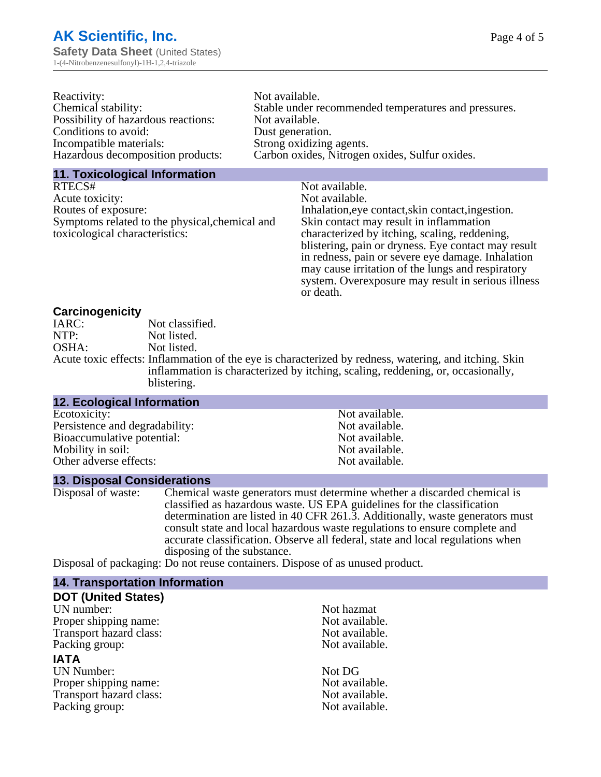| Reactivity:                         | Not available.                                       |
|-------------------------------------|------------------------------------------------------|
| Chemical stability:                 | Stable under recommended temperatures and pressures. |
| Possibility of hazardous reactions: | Not available.                                       |
| Conditions to avoid:                | Dust generation.                                     |
| Incompatible materials:             | Strong oxidizing agents.                             |
| Hazardous decomposition products:   | Carbon oxides, Nitrogen oxides, Sulfur oxides.       |

#### **11. Toxicological Information**

| RTECS#                                         | Not available.                                      |
|------------------------------------------------|-----------------------------------------------------|
| Acute toxicity:                                | Not available.                                      |
| Routes of exposure:                            | Inhalation, eye contact, skin contact, ingestion.   |
| Symptoms related to the physical, chemical and | Skin contact may result in inflammation             |
| toxicological characteristics:                 | characterized by itching, scaling, reddening,       |
|                                                | blistering, pain or dryness. Eye contact may result |
|                                                | in redness, pain or severe eye damage. Inhalation   |
|                                                | may cause irritation of the lungs and respiratory   |
|                                                | system. Overexposure may result in serious illness  |

or death.

#### **Carcinogenicity**

| IARC: | Not classified.                                                                                       |
|-------|-------------------------------------------------------------------------------------------------------|
| NTP:  | Not listed.                                                                                           |
| OSHA: | Not listed.                                                                                           |
|       | Acute toxic effects: Inflammation of the eye is characterized by redness, watering, and itching. Skin |
|       | inflammation is characterized by itching, scaling, reddening, or, occasionally,                       |
|       | blistering.                                                                                           |

| 12. Ecological Information     |                |  |
|--------------------------------|----------------|--|
| Ecotoxicity:                   | Not available. |  |
| Persistence and degradability: | Not available. |  |
| Bioaccumulative potential:     | Not available. |  |
| Mobility in soil:              | Not available. |  |
| Other adverse effects:         | Not available. |  |
|                                |                |  |

#### **13. Disposal Considerations**

Disposal of waste: Chemical waste generators must determine whether a discarded chemical is classified as hazardous waste. US EPA guidelines for the classification determination are listed in 40 CFR 261.3. Additionally, waste generators must consult state and local hazardous waste regulations to ensure complete and accurate classification. Observe all federal, state and local regulations when disposing of the substance.

Disposal of packaging: Do not reuse containers. Dispose of as unused product.

| <b>14. Transportation Information</b> |                |
|---------------------------------------|----------------|
| <b>DOT (United States)</b>            |                |
| UN number:                            | Not hazmat     |
| Proper shipping name:                 | Not available. |
| Transport hazard class:               | Not available. |
| Packing group:                        | Not available. |
| <b>IATA</b>                           |                |
| <b>UN Number:</b>                     | Not DG         |
| Proper shipping name:                 | Not available. |
| Transport hazard class:               | Not available. |
| Packing group:                        | Not available. |